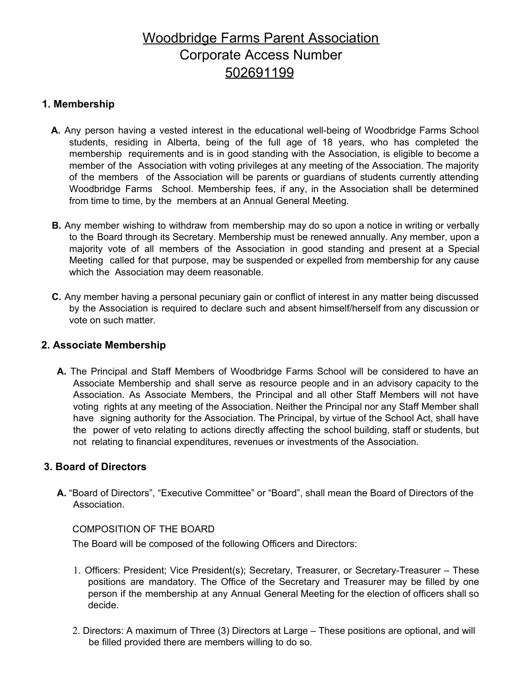# Woodbridge Farms Parent Association Corporate Access Number 502691199

## **1. Membership**

- **A.** Any person having a vested interest in the educational well-being of Woodbridge Farms School students, residing in Alberta, being of the full age of 18 years, who has completed the membership requirements and is in good standing with the Association, is eligible to become a member of the Association with voting privileges at any meeting of the Association. The majority of the members of the Association will be parents or guardians of students currently attending Woodbridge Farms School. Membership fees, if any, in the Association shall be determined from time to time, by the members at an Annual General Meeting.
- **B.** Any member wishing to withdraw from membership may do so upon a notice in writing or verbally to the Board through its Secretary. Membership must be renewed annually. Any member, upon a majority vote of all members of the Association in good standing and present at a Special Meeting called for that purpose, may be suspended or expelled from membership for any cause which the Association may deem reasonable.
- **C.** Any member having a personal pecuniary gain or conflict of interest in any matter being discussed by the Association is required to declare such and absent himself/herself from any discussion or vote on such matter.

#### **2. Associate Membership**

**A.** The Principal and Staff Members of Woodbridge Farms School will be considered to have an Associate Membership and shall serve as resource people and in an advisory capacity to the Association. As Associate Members, the Principal and all other Staff Members will not have voting rights at any meeting of the Association. Neither the Principal nor any Staff Member shall have signing authority for the Association. The Principal, by virtue of the School Act, shall have the power of veto relating to actions directly affecting the school building, staff or students, but not relating to financial expenditures, revenues or investments of the Association.

#### **3. Board of Directors**

**A.** "Board of Directors", "Executive Committee" or "Board", shall mean the Board of Directors of the Association.

#### COMPOSITION OF THE BOARD

The Board will be composed of the following Officers and Directors:

- 1. Officers: President; Vice President(s); Secretary, Treasurer, or Secretary-Treasurer These positions are mandatory. The Office of the Secretary and Treasurer may be filled by one person if the membership at any Annual General Meeting for the election of officers shall so decide.
- 2. Directors: A maximum of Three (3) Directors at Large These positions are optional, and will be filled provided there are members willing to do so.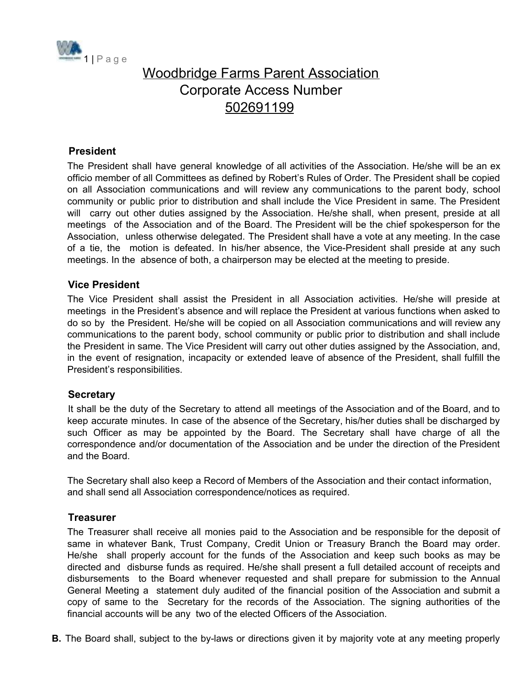

# Woodbridge Farms Parent Association Corporate Access Number 502691199

#### **President**

The President shall have general knowledge of all activities of the Association. He/she will be an ex officio member of all Committees as defined by Robert's Rules of Order. The President shall be copied on all Association communications and will review any communications to the parent body, school community or public prior to distribution and shall include the Vice President in same. The President will carry out other duties assigned by the Association. He/she shall, when present, preside at all meetings of the Association and of the Board. The President will be the chief spokesperson for the Association, unless otherwise delegated. The President shall have a vote at any meeting. In the case of a tie, the motion is defeated. In his/her absence, the Vice-President shall preside at any such meetings. In the absence of both, a chairperson may be elected at the meeting to preside.

#### **Vice President**

The Vice President shall assist the President in all Association activities. He/she will preside at meetings in the President's absence and will replace the President at various functions when asked to do so by the President. He/she will be copied on all Association communications and will review any communications to the parent body, school community or public prior to distribution and shall include the President in same. The Vice President will carry out other duties assigned by the Association, and, in the event of resignation, incapacity or extended leave of absence of the President, shall fulfill the President's responsibilities.

#### **Secretary**

It shall be the duty of the Secretary to attend all meetings of the Association and of the Board, and to keep accurate minutes. In case of the absence of the Secretary, his/her duties shall be discharged by such Officer as may be appointed by the Board. The Secretary shall have charge of all the correspondence and/or documentation of the Association and be under the direction of the President and the Board.

The Secretary shall also keep a Record of Members of the Association and their contact information, and shall send all Association correspondence/notices as required.

#### **Treasurer**

The Treasurer shall receive all monies paid to the Association and be responsible for the deposit of same in whatever Bank, Trust Company, Credit Union or Treasury Branch the Board may order. He/she shall properly account for the funds of the Association and keep such books as may be directed and disburse funds as required. He/she shall present a full detailed account of receipts and disbursements to the Board whenever requested and shall prepare for submission to the Annual General Meeting a statement duly audited of the financial position of the Association and submit a copy of same to the Secretary for the records of the Association. The signing authorities of the financial accounts will be any two of the elected Officers of the Association.

**B.** The Board shall, subject to the by-laws or directions given it by majority vote at any meeting properly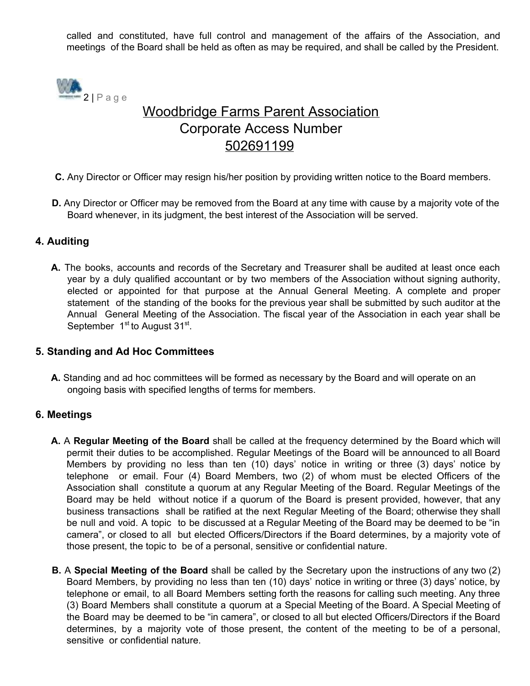called and constituted, have full control and management of the affairs of the Association, and meetings of the Board shall be held as often as may be required, and shall be called by the President.



# Woodbridge Farms Parent Association Corporate Access Number 502691199

- **C.** Any Director or Officer may resign his/her position by providing written notice to the Board members.
- **D.** Any Director or Officer may be removed from the Board at any time with cause by a majority vote of the Board whenever, in its judgment, the best interest of the Association will be served.

## **4. Auditing**

**A.** The books, accounts and records of the Secretary and Treasurer shall be audited at least once each year by a duly qualified accountant or by two members of the Association without signing authority, elected or appointed for that purpose at the Annual General Meeting. A complete and proper statement of the standing of the books for the previous year shall be submitted by such auditor at the Annual General Meeting of the Association. The fiscal year of the Association in each year shall be September 1<sup>st</sup> to August 31<sup>st</sup>.

#### **5. Standing and Ad Hoc Committees**

**A.** Standing and ad hoc committees will be formed as necessary by the Board and will operate on an ongoing basis with specified lengths of terms for members.

#### **6. Meetings**

- **A.** A **Regular Meeting of the Board** shall be called at the frequency determined by the Board which will permit their duties to be accomplished. Regular Meetings of the Board will be announced to all Board Members by providing no less than ten (10) days' notice in writing or three (3) days' notice by telephone or email. Four (4) Board Members, two (2) of whom must be elected Officers of the Association shall constitute a quorum at any Regular Meeting of the Board. Regular Meetings of the Board may be held without notice if a quorum of the Board is present provided, however, that any business transactions shall be ratified at the next Regular Meeting of the Board; otherwise they shall be null and void. A topic to be discussed at a Regular Meeting of the Board may be deemed to be "in camera", or closed to all but elected Officers/Directors if the Board determines, by a majority vote of those present, the topic to be of a personal, sensitive or confidential nature.
- **B.** A **Special Meeting of the Board** shall be called by the Secretary upon the instructions of any two (2) Board Members, by providing no less than ten (10) days' notice in writing or three (3) days' notice, by telephone or email, to all Board Members setting forth the reasons for calling such meeting. Any three (3) Board Members shall constitute a quorum at a Special Meeting of the Board. A Special Meeting of the Board may be deemed to be "in camera", or closed to all but elected Officers/Directors if the Board determines, by a majority vote of those present, the content of the meeting to be of a personal, sensitive or confidential nature.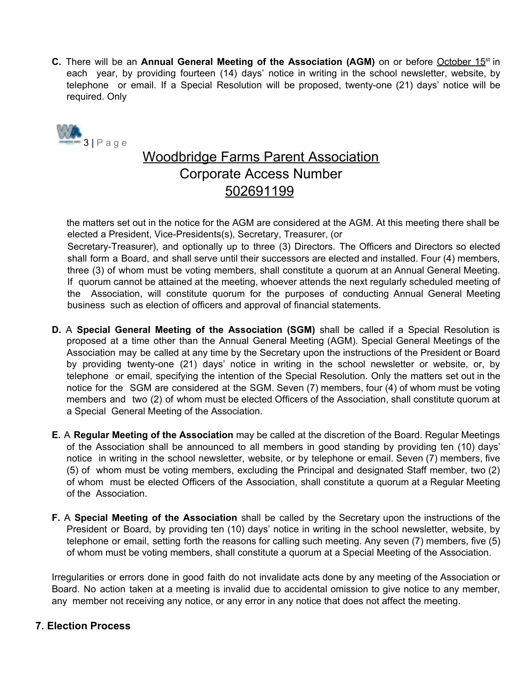**C.** There will be an Annual General Meeting of the Association (AGM) on or before October 15<sup>st</sup> in each year, by providing fourteen (14) days' notice in writing in the school newsletter, website, by telephone or email. If a Special Resolution will be proposed, twenty-one (21) days' notice will be required. Only



# Woodbridge Farms Parent Association Corporate Access Number 502691199

the matters set out in the notice for the AGM are considered at the AGM. At this meeting there shall be elected a President, Vice-Presidents(s), Secretary, Treasurer, (or

Secretary-Treasurer), and optionally up to three (3) Directors. The Officers and Directors so elected shall form a Board, and shall serve until their successors are elected and installed. Four (4) members, three (3) of whom must be voting members, shall constitute a quorum at an Annual General Meeting. If quorum cannot be attained at the meeting, whoever attends the next regularly scheduled meeting of the Association, will constitute quorum for the purposes of conducting Annual General Meeting business such as election of officers and approval of financial statements.

- **D.** A **Special General Meeting of the Association (SGM)** shall be called if a Special Resolution is proposed at a time other than the Annual General Meeting (AGM). Special General Meetings of the Association may be called at any time by the Secretary upon the instructions of the President or Board by providing twenty-one (21) days' notice in writing in the school newsletter or website, or, by telephone or email, specifying the intention of the Special Resolution. Only the matters set out in the notice for the SGM are considered at the SGM. Seven (7) members, four (4) of whom must be voting members and two (2) of whom must be elected Officers of the Association, shall constitute quorum at a Special General Meeting of the Association.
- **E.** A **Regular Meeting of the Association** may be called at the discretion of the Board. Regular Meetings of the Association shall be announced to all members in good standing by providing ten (10) days' notice in writing in the school newsletter, website, or by telephone or email. Seven (7) members, five (5) of whom must be voting members, excluding the Principal and designated Staff member, two (2) of whom must be elected Officers of the Association, shall constitute a quorum at a Regular Meeting of the Association.
- **F.** A **Special Meeting of the Association** shall be called by the Secretary upon the instructions of the President or Board, by providing ten (10) days' notice in writing in the school newsletter, website, by telephone or email, setting forth the reasons for calling such meeting. Any seven (7) members, five (5) of whom must be voting members, shall constitute a quorum at a Special Meeting of the Association.

Irregularities or errors done in good faith do not invalidate acts done by any meeting of the Association or Board. No action taken at a meeting is invalid due to accidental omission to give notice to any member, any member not receiving any notice, or any error in any notice that does not affect the meeting.

## **7. Election Process**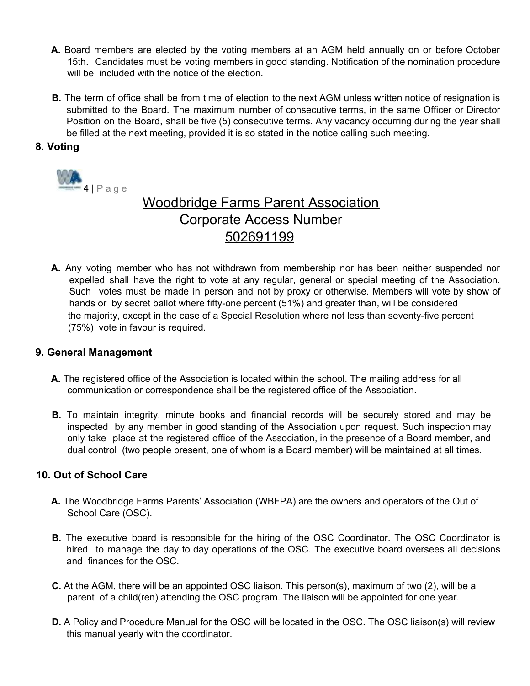- **A.** Board members are elected by the voting members at an AGM held annually on or before October 15th. Candidates must be voting members in good standing. Notification of the nomination procedure will be included with the notice of the election.
- **B.** The term of office shall be from time of election to the next AGM unless written notice of resignation is submitted to the Board. The maximum number of consecutive terms, in the same Officer or Director Position on the Board, shall be five (5) consecutive terms. Any vacancy occurring during the year shall be filled at the next meeting, provided it is so stated in the notice calling such meeting.

## **8. Voting**



# Woodbridge Farms Parent Association Corporate Access Number 502691199

**A.** Any voting member who has not withdrawn from membership nor has been neither suspended nor expelled shall have the right to vote at any regular, general or special meeting of the Association. Such votes must be made in person and not by proxy or otherwise. Members will vote by show of hands or by secret ballot where fifty-one percent (51%) and greater than, will be considered the majority, except in the case of a Special Resolution where not less than seventy-five percent (75%) vote in favour is required.

#### **9. General Management**

- **A.** The registered office of the Association is located within the school. The mailing address for all communication or correspondence shall be the registered office of the Association.
- **B.** To maintain integrity, minute books and financial records will be securely stored and may be inspected by any member in good standing of the Association upon request. Such inspection may only take place at the registered office of the Association, in the presence of a Board member, and dual control (two people present, one of whom is a Board member) will be maintained at all times.

#### **10. Out of School Care**

- **A.** The Woodbridge Farms Parents' Association (WBFPA) are the owners and operators of the Out of School Care (OSC).
- **B.** The executive board is responsible for the hiring of the OSC Coordinator. The OSC Coordinator is hired to manage the day to day operations of the OSC. The executive board oversees all decisions and finances for the OSC.
- **C.** At the AGM, there will be an appointed OSC liaison. This person(s), maximum of two (2), will be a parent of a child(ren) attending the OSC program. The liaison will be appointed for one year.
- **D.** A Policy and Procedure Manual for the OSC will be located in the OSC. The OSC liaison(s) will review this manual yearly with the coordinator.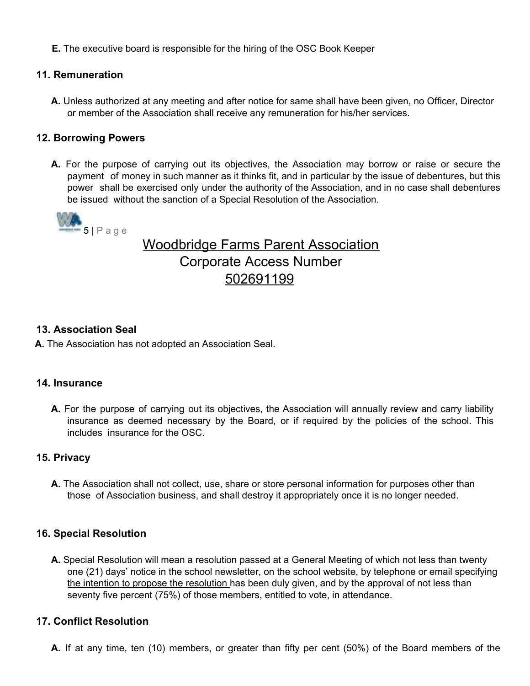**E.** The executive board is responsible for the hiring of the OSC Book Keeper

#### **11. Remuneration**

**A.** Unless authorized at any meeting and after notice for same shall have been given, no Officer, Director or member of the Association shall receive any remuneration for his/her services.

#### **12. Borrowing Powers**

**A.** For the purpose of carrying out its objectives, the Association may borrow or raise or secure the payment of money in such manner as it thinks fit, and in particular by the issue of debentures, but this power shall be exercised only under the authority of the Association, and in no case shall debentures be issued without the sanction of a Special Resolution of the Association.



# Woodbridge Farms Parent Association Corporate Access Number 502691199

#### **13. Association Seal**

**A.** The Association has not adopted an Association Seal.

#### **14. Insurance**

**A.** For the purpose of carrying out its objectives, the Association will annually review and carry liability insurance as deemed necessary by the Board, or if required by the policies of the school. This includes insurance for the OSC.

#### **15. Privacy**

**A.** The Association shall not collect, use, share or store personal information for purposes other than those of Association business, and shall destroy it appropriately once it is no longer needed.

#### **16. Special Resolution**

**A.** Special Resolution will mean a resolution passed at a General Meeting of which not less than twenty one (21) days' notice in the school newsletter, on the school website, by telephone or email specifying the intention to propose the resolution has been duly given, and by the approval of not less than seventy five percent (75%) of those members, entitled to vote, in attendance.

#### **17. Conflict Resolution**

**A.** If at any time, ten (10) members, or greater than fifty per cent (50%) of the Board members of the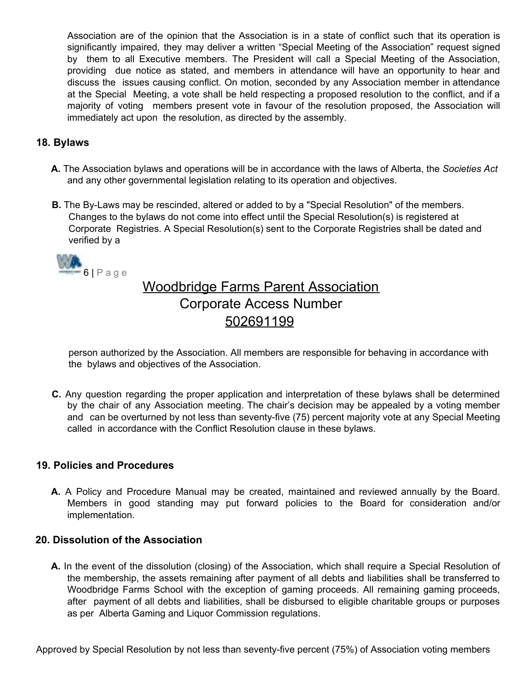Association are of the opinion that the Association is in a state of conflict such that its operation is significantly impaired, they may deliver a written "Special Meeting of the Association" request signed by them to all Executive members. The President will call a Special Meeting of the Association, providing due notice as stated, and members in attendance will have an opportunity to hear and discuss the issues causing conflict. On motion, seconded by any Association member in attendance at the Special Meeting, a vote shall be held respecting a proposed resolution to the conflict, and if a majority of voting members present vote in favour of the resolution proposed, the Association will immediately act upon the resolution, as directed by the assembly.

## **18. Bylaws**

- **A.** The Association bylaws and operations will be in accordance with the laws of Alberta, the *Societies Act* and any other governmental legislation relating to its operation and objectives.
- **B.** The By-Laws may be rescinded, altered or added to by a "Special Resolution" of the members. Changes to the bylaws do not come into effect until the Special Resolution(s) is registered at Corporate Registries. A Special Resolution(s) sent to the Corporate Registries shall be dated and verified by a



# Woodbridge Farms Parent Association Corporate Access Number 502691199

person authorized by the Association. All members are responsible for behaving in accordance with the bylaws and objectives of the Association.

**C.** Any question regarding the proper application and interpretation of these bylaws shall be determined by the chair of any Association meeting. The chair's decision may be appealed by a voting member and can be overturned by not less than seventy-five (75) percent majority vote at any Special Meeting called in accordance with the Conflict Resolution clause in these bylaws.

#### **19. Policies and Procedures**

**A.** A Policy and Procedure Manual may be created, maintained and reviewed annually by the Board. Members in good standing may put forward policies to the Board for consideration and/or implementation.

#### **20. Dissolution of the Association**

**A.** In the event of the dissolution (closing) of the Association, which shall require a Special Resolution of the membership, the assets remaining after payment of all debts and liabilities shall be transferred to Woodbridge Farms School with the exception of gaming proceeds. All remaining gaming proceeds, after payment of all debts and liabilities, shall be disbursed to eligible charitable groups or purposes as per Alberta Gaming and Liquor Commission regulations.